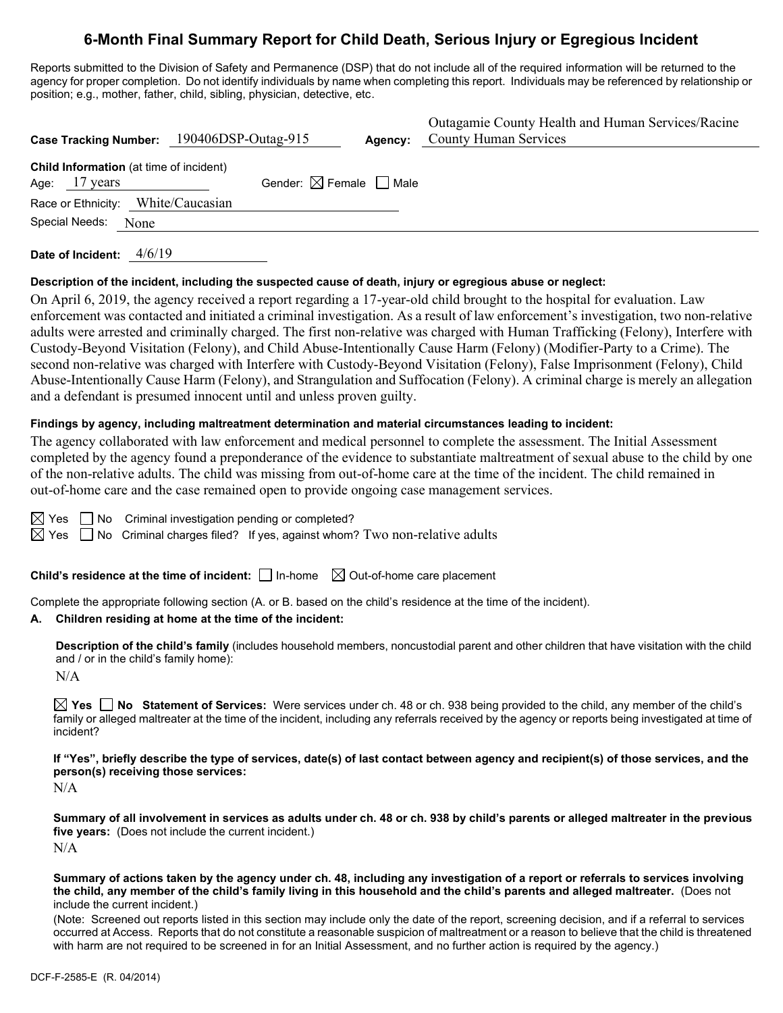# **6-Month Final Summary Report for Child Death, Serious Injury or Egregious Incident**

Reports submitted to the Division of Safety and Permanence (DSP) that do not include all of the required information will be returned to the agency for proper completion. Do not identify individuals by name when completing this report. Individuals may be referenced by relationship or position; e.g., mother, father, child, sibling, physician, detective, etc.

| Case Tracking Number: 190406DSP-Outag-915                         |                                        | Agency: | Outagamie County Health and Human Services/Racine<br><b>County Human Services</b> |
|-------------------------------------------------------------------|----------------------------------------|---------|-----------------------------------------------------------------------------------|
| <b>Child Information</b> (at time of incident)<br>Age: $17$ years | Gender: $\boxtimes$ Female $\Box$ Male |         |                                                                                   |
| Race or Ethnicity: White/Caucasian                                |                                        |         |                                                                                   |
| Special Needs:<br>None                                            |                                        |         |                                                                                   |

**Date of Incident:** 4/6/19

#### **Description of the incident, including the suspected cause of death, injury or egregious abuse or neglect:**

On April 6, 2019, the agency received a report regarding a 17-year-old child brought to the hospital for evaluation. Law enforcement was contacted and initiated a criminal investigation. As a result of law enforcement's investigation, two non-relative adults were arrested and criminally charged. The first non-relative was charged with Human Trafficking (Felony), Interfere with Custody-Beyond Visitation (Felony), and Child Abuse-Intentionally Cause Harm (Felony) (Modifier-Party to a Crime). The second non-relative was charged with Interfere with Custody-Beyond Visitation (Felony), False Imprisonment (Felony), Child Abuse-Intentionally Cause Harm (Felony), and Strangulation and Suffocation (Felony). A criminal charge is merely an allegation and a defendant is presumed innocent until and unless proven guilty.

#### **Findings by agency, including maltreatment determination and material circumstances leading to incident:**

The agency collaborated with law enforcement and medical personnel to complete the assessment. The Initial Assessment completed by the agency found a preponderance of the evidence to substantiate maltreatment of sexual abuse to the child by one of the non-relative adults. The child was missing from out-of-home care at the time of the incident. The child remained in out-of-home care and the case remained open to provide ongoing case management services.

 $\boxtimes$  Yes  $\Box$  No Criminal investigation pending or completed?

 $\boxtimes$  Yes  $\Box$  No Criminal charges filed? If yes, against whom? Two non-relative adults

**Child's residence at the time of incident:**  $\Box$  In-home  $\Box$  Out-of-home care placement

Complete the appropriate following section (A. or B. based on the child's residence at the time of the incident).

#### **A. Children residing at home at the time of the incident:**

**Description of the child's family** (includes household members, noncustodial parent and other children that have visitation with the child and / or in the child's family home):

 $N/A$ 

**Yes No Statement of Services:** Were services under ch. 48 or ch. 938 being provided to the child, any member of the child's family or alleged maltreater at the time of the incident, including any referrals received by the agency or reports being investigated at time of incident?

**If "Yes", briefly describe the type of services, date(s) of last contact between agency and recipient(s) of those services, and the person(s) receiving those services:**

N/A

**Summary of all involvement in services as adults under ch. 48 or ch. 938 by child's parents or alleged maltreater in the previous five years:** (Does not include the current incident.)  $N/A$ 

**Summary of actions taken by the agency under ch. 48, including any investigation of a report or referrals to services involving the child, any member of the child's family living in this household and the child's parents and alleged maltreater.** (Does not include the current incident.)

(Note: Screened out reports listed in this section may include only the date of the report, screening decision, and if a referral to services occurred at Access. Reports that do not constitute a reasonable suspicion of maltreatment or a reason to believe that the child is threatened with harm are not required to be screened in for an Initial Assessment, and no further action is required by the agency.)